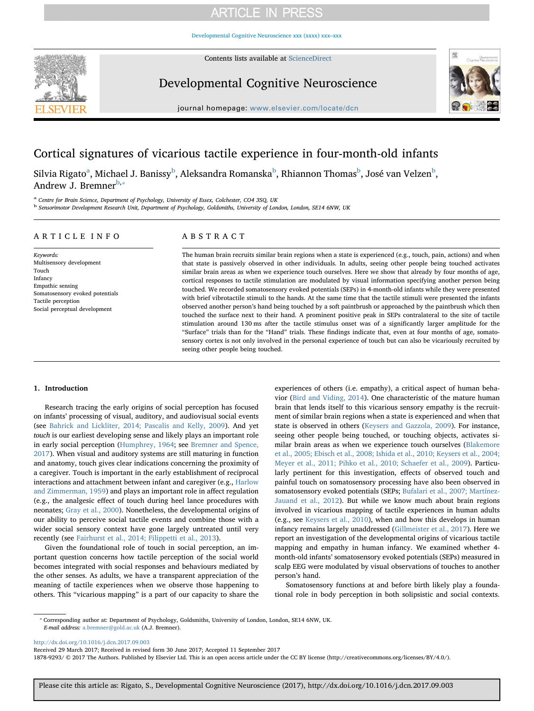# **ARTICLE IN PRESS**

[Developmental Cognitive Neuroscience xxx \(xxxx\) xxx–xxx](http://dx.doi.org/10.1016/j.dcn.2017.09.003)



Contents lists available at [ScienceDirect](http://www.sciencedirect.com/science/journal/18789293)

Developmental Cognitive Neuroscience



journal homepage: [www.elsevier.com/locate/dcn](http://www.elsevier.com/locate/dcn)

# Cortical signatures of vicarious tactile experience in four-month-old infants

Silvi[a](#page-0-0) Rigato $^{\rm a}$ , Michael J. Banissy $^{\rm b}$  $^{\rm b}$  $^{\rm b}$ , Aleksandra Romanska $^{\rm b}$ , Rhiannon Thomas $^{\rm b}$ , José van Velzen $^{\rm b}$ , Andrew J. Bremner $b^*$ 

<span id="page-0-0"></span><sup>a</sup> Centre for Brain Science, Department of Psychology, University of Essex, Colchester, CO4 3SQ, UK

<span id="page-0-1"></span><sup>b</sup> Sensorimotor Development Research Unit, Department of Psychology, Goldsmiths, University of London, London, SE14 6NW, UK

## ARTICLE INFO

Keywords: Multisensory development Touch Infancy Empathic sensing Somatosensory evoked potentials Tactile perception Social perceptual development

# ABSTRACT

The human brain recruits similar brain regions when a state is experienced (e.g., touch, pain, actions) and when that state is passively observed in other individuals. In adults, seeing other people being touched activates similar brain areas as when we experience touch ourselves. Here we show that already by four months of age, cortical responses to tactile stimulation are modulated by visual information specifying another person being touched. We recorded somatosensory evoked potentials (SEPs) in 4-month-old infants while they were presented with brief vibrotactile stimuli to the hands. At the same time that the tactile stimuli were presented the infants observed another person's hand being touched by a soft paintbrush or approached by the paintbrush which then touched the surface next to their hand. A prominent positive peak in SEPs contralateral to the site of tactile stimulation around 130 ms after the tactile stimulus onset was of a significantly larger amplitude for the "Surface" trials than for the "Hand" trials. These findings indicate that, even at four months of age, somatosensory cortex is not only involved in the personal experience of touch but can also be vicariously recruited by seeing other people being touched.

## 1. Introduction

Research tracing the early origins of social perception has focused on infants' processing of visual, auditory, and audiovisual social events (see [Bahrick and Lickliter, 2014; Pascalis and Kelly, 2009\)](#page-4-0). And yet touch is our earliest developing sense and likely plays an important role in early social perception ([Humphrey, 1964](#page-5-0); see [Bremner and Spence,](#page-5-1) [2017\)](#page-5-1). When visual and auditory systems are still maturing in function and anatomy, touch gives clear indications concerning the proximity of a caregiver. Touch is important in the early establishment of reciprocal interactions and attachment between infant and caregiver (e.g., [Harlow](#page-5-2) [and Zimmerman, 1959\)](#page-5-2) and plays an important role in affect regulation (e.g., the analgesic effect of touch during heel lance procedures with neonates; [Gray et al., 2000\)](#page-5-3). Nonetheless, the developmental origins of our ability to perceive social tactile events and combine those with a wider social sensory context have gone largely untreated until very recently (see [Fairhurst et al., 2014; Filippetti et al., 2013](#page-5-4)).

Given the foundational role of touch in social perception, an important question concerns how tactile perception of the social world becomes integrated with social responses and behaviours mediated by the other senses. As adults, we have a transparent appreciation of the meaning of tactile experiences when we observe those happening to others. This "vicarious mapping" is a part of our capacity to share the experiences of others (i.e. empathy), a critical aspect of human behavior [\(Bird and Viding, 2014](#page-5-5)). One characteristic of the mature human brain that lends itself to this vicarious sensory empathy is the recruitment of similar brain regions when a state is experienced and when that state is observed in others ([Keysers and Gazzola, 2009](#page-5-6)). For instance, seeing other people being touched, or touching objects, activates similar brain areas as when we experience touch ourselves [\(Blakemore](#page-5-7) [et al., 2005; Ebisch et al., 2008; Ishida et al., 2010; Keysers et al., 2004;](#page-5-7) [Meyer et al., 2011; Pihko et al., 2010; Schaefer et al., 2009\)](#page-5-7). Particularly pertinent for this investigation, effects of observed touch and painful touch on somatosensory processing have also been observed in somatosensory evoked potentials (SEPs; [Bufalari et al., 2007; Martínez-](#page-5-8)[Jauand et al., 2012](#page-5-8)). But while we know much about brain regions involved in vicarious mapping of tactile experiences in human adults (e.g., see [Keysers et al., 2010\)](#page-5-9), when and how this develops in human infancy remains largely unaddressed [\(Gillmeister et al., 2017](#page-5-10)). Here we report an investigation of the developmental origins of vicarious tactile mapping and empathy in human infancy. We examined whether 4 month-old infants' somatosensory evoked potentials (SEPs) measured in scalp EEG were modulated by visual observations of touches to another person's hand.

Somatosensory functions at and before birth likely play a foundational role in body perception in both solipsistic and social contexts.

<span id="page-0-2"></span>⁎ Corresponding author at: Department of Psychology, Goldsmiths, University of London, London, SE14 6NW, UK. E-mail address: [a.bremner@gold.ac.uk](mailto:a.bremner@gold.ac.uk) (A.J. Bremner).

<http://dx.doi.org/10.1016/j.dcn.2017.09.003>

Received 29 March 2017; Received in revised form 30 June 2017; Accepted 11 September 2017

1878-9293/ © 2017 The Authors. Published by Elsevier Ltd. This is an open access article under the CC BY license (http://creativecommons.org/licenses/BY/4.0/).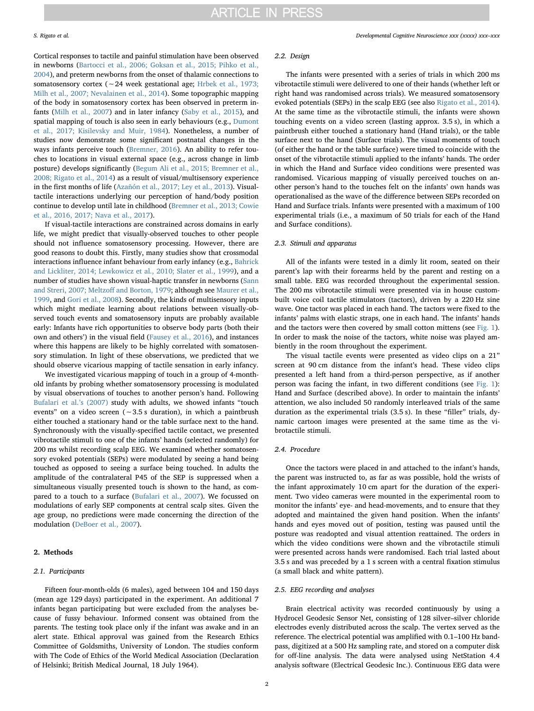Cortical responses to tactile and painful stimulation have been observed in newborns [\(Bartocci et al., 2006; Goksan et al., 2015; Pihko et al.,](#page-4-1) [2004\)](#page-4-1), and preterm newborns from the onset of thalamic connections to somatosensory cortex (∼24 week gestational age; [Hrbek et al., 1973;](#page-5-11) [Milh et al., 2007; Nevalainen et al., 2014\)](#page-5-11). Some topographic mapping of the body in somatosensory cortex has been observed in preterm infants ([Milh et al., 2007\)](#page-5-12) and in later infancy ([Saby et al., 2015](#page-5-13)), and spatial mapping of touch is also seen in early behaviours (e.g., [Dumont](#page-5-14) [et al., 2017; Kisilevsky and Muir, 1984\)](#page-5-14). Nonetheless, a number of studies now demonstrate some significant postnatal changes in the ways infants perceive touch [\(Bremner, 2016\)](#page-5-15). An ability to refer touches to locations in visual external space (e.g., across change in limb posture) develops significantly [\(Begum Ali et al., 2015; Bremner et al.,](#page-4-2) [2008; Rigato et al., 2014\)](#page-4-2) as a result of visual/multisensory experience in the first months of life ([Azañón et al., 2017; Ley et al., 2013\)](#page-4-3). Visualtactile interactions underlying our perception of hand/body position continue to develop until late in childhood [\(Bremner et al., 2013; Cowie](#page-5-16) [et al., 2016, 2017; Nava et al., 2017\)](#page-5-16).

If visual-tactile interactions are constrained across domains in early life, we might predict that visually-observed touches to other people should not influence somatosensory processing. However, there are good reasons to doubt this. Firstly, many studies show that crossmodal interactions influence infant behaviour from early infancy (e.g., [Bahrick](#page-4-0) [and Lickliter, 2014; Lewkowicz et al., 2010; Slater et al., 1999](#page-4-0)), and a number of studies have shown visual-haptic transfer in newborns [\(Sann](#page-5-17) [and Streri, 2007; Meltzo](#page-5-17)ff and Borton, 1979; although see [Maurer et al.,](#page-5-18) [1999,](#page-5-18) and [Gori et al., 2008](#page-5-19)). Secondly, the kinds of multisensory inputs which might mediate learning about relations between visually-observed touch events and somatosensory inputs are probably available early: Infants have rich opportunities to observe body parts (both their own and others') in the visual field ([Fausey et al., 2016](#page-5-20)), and instances where this happens are likely to be highly correlated with somatosensory stimulation. In light of these observations, we predicted that we should observe vicarious mapping of tactile sensation in early infancy.

We investigated vicarious mapping of touch in a group of 4-monthold infants by probing whether somatosensory processing is modulated by visual observations of touches to another person's hand. Following [Bufalari et al.](#page-5-8)'s (2007) study with adults, we showed infants "touch events" on a video screen (∼3.5 s duration), in which a paintbrush either touched a stationary hand or the table surface next to the hand. Synchronously with the visually-specified tactile contact, we presented vibrotactile stimuli to one of the infants' hands (selected randomly) for 200 ms whilst recording scalp EEG. We examined whether somatosensory evoked potentials (SEPs) were modulated by seeing a hand being touched as opposed to seeing a surface being touched. In adults the amplitude of the contralateral P45 of the SEP is suppressed when a simultaneous visually presented touch is shown to the hand, as compared to a touch to a surface [\(Bufalari et al., 2007\)](#page-5-8). We focussed on modulations of early SEP components at central scalp sites. Given the age group, no predictions were made concerning the direction of the modulation ([DeBoer et al., 2007\)](#page-5-21).

## 2. Methods

#### 2.1. Participants

Fifteen four-month-olds (6 males), aged between 104 and 150 days (mean age 129 days) participated in the experiment. An additional 7 infants began participating but were excluded from the analyses because of fussy behaviour. Informed consent was obtained from the parents. The testing took place only if the infant was awake and in an alert state. Ethical approval was gained from the Research Ethics Committee of Goldsmiths, University of London. The studies conform with The Code of Ethics of the World Medical Association (Declaration of Helsinki; British Medical Journal, 18 July 1964).

#### 2.2. Design

The infants were presented with a series of trials in which 200 ms vibrotactile stimuli were delivered to one of their hands (whether left or right hand was randomised across trials). We measured somatosensory evoked potentials (SEPs) in the scalp EEG (see also [Rigato et al., 2014](#page-5-22)). At the same time as the vibrotactile stimuli, the infants were shown touching events on a video screen (lasting approx. 3.5 s), in which a paintbrush either touched a stationary hand (Hand trials), or the table surface next to the hand (Surface trials). The visual moments of touch (of either the hand or the table surface) were timed to coincide with the onset of the vibrotactile stimuli applied to the infants' hands. The order in which the Hand and Surface video conditions were presented was randomised. Vicarious mapping of visually perceived touches on another person's hand to the touches felt on the infants' own hands was operationalised as the wave of the difference between SEPs recorded on Hand and Surface trials. Infants were presented with a maximum of 100 experimental trials (i.e., a maximum of 50 trials for each of the Hand and Surface conditions).

#### 2.3. Stimuli and apparatus

All of the infants were tested in a dimly lit room, seated on their parent's lap with their forearms held by the parent and resting on a small table. EEG was recorded throughout the experimental session. The 200 ms vibrotactile stimuli were presented via in house custombuilt voice coil tactile stimulators (tactors), driven by a 220 Hz sine wave. One tactor was placed in each hand. The tactors were fixed to the infants' palms with elastic straps, one in each hand. The infants' hands and the tactors were then covered by small cotton mittens (see [Fig. 1](#page-2-0)). In order to mask the noise of the tactors, white noise was played ambiently in the room throughout the experiment.

The visual tactile events were presented as video clips on a 21" screen at 90 cm distance from the infant's head. These video clips presented a left hand from a third-person perspective, as if another person was facing the infant, in two different conditions (see [Fig. 1](#page-2-0)): Hand and Surface (described above). In order to maintain the infants' attention, we also included 50 randomly interleaved trials of the same duration as the experimental trials (3.5 s). In these "filler" trials, dynamic cartoon images were presented at the same time as the vibrotactile stimuli.

# 2.4. Procedure

Once the tactors were placed in and attached to the infant's hands, the parent was instructed to, as far as was possible, hold the wrists of the infant approximately 10 cm apart for the duration of the experiment. Two video cameras were mounted in the experimental room to monitor the infants' eye- and head-movements, and to ensure that they adopted and maintained the given hand position. When the infants' hands and eyes moved out of position, testing was paused until the posture was readopted and visual attention reattained. The orders in which the video conditions were shown and the vibrotactile stimuli were presented across hands were randomised. Each trial lasted about 3.5 s and was preceded by a 1 s screen with a central fixation stimulus (a small black and white pattern).

### 2.5. EEG recording and analyses

Brain electrical activity was recorded continuously by using a Hydrocel Geodesic Sensor Net, consisting of 128 silver–silver chloride electrodes evenly distributed across the scalp. The vertex served as the reference. The electrical potential was amplified with 0.1–100 Hz bandpass, digitized at a 500 Hz sampling rate, and stored on a computer disk for off-line analysis. The data were analysed using NetStation 4.4 analysis software (Electrical Geodesic Inc.). Continuous EEG data were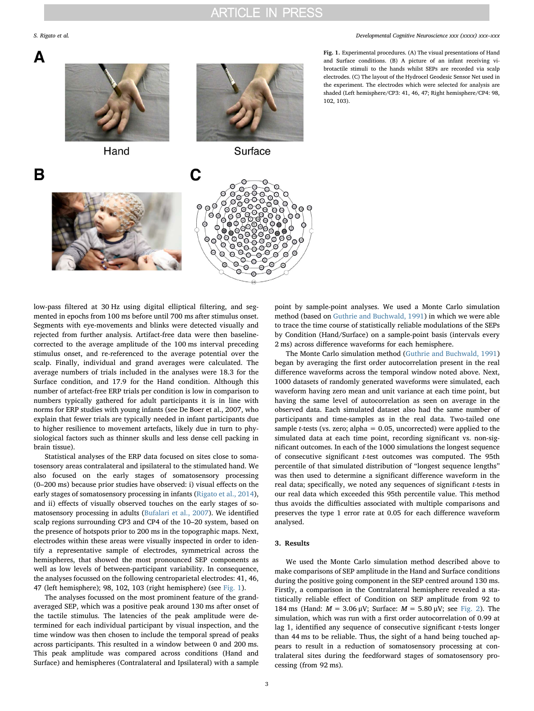B



Hand



Surface

C

<span id="page-2-0"></span>

Fig. 1. Experimental procedures. (A) The visual presentations of Hand and Surface conditions. (B) A picture of an infant receiving vibrotactile stimuli to the hands whilst SEPs are recorded via scalp electrodes. (C) The layout of the Hydrocel Geodesic Sensor Net used in the experiment. The electrodes which were selected for analysis are shaded (Left hemisphere/CP3: 41, 46, 47; Right hemisphere/CP4: 98, 102, 103).

low-pass filtered at 30 Hz using digital elliptical filtering, and segmented in epochs from 100 ms before until 700 ms after stimulus onset. Segments with eye-movements and blinks were detected visually and rejected from further analysis. Artifact-free data were then baselinecorrected to the average amplitude of the 100 ms interval preceding stimulus onset, and re-referenced to the average potential over the scalp. Finally, individual and grand averages were calculated. The average numbers of trials included in the analyses were 18.3 for the Surface condition, and 17.9 for the Hand condition. Although this number of artefact-free ERP trials per condition is low in comparison to numbers typically gathered for adult participants it is in line with norms for ERP studies with young infants (see De Boer et al., 2007, who explain that fewer trials are typically needed in infant participants due to higher resilience to movement artefacts, likely due in turn to physiological factors such as thinner skulls and less dense cell packing in brain tissue).

Statistical analyses of the ERP data focused on sites close to somatosensory areas contralateral and ipsilateral to the stimulated hand. We also focused on the early stages of somatosensory processing (0–200 ms) because prior studies have observed: i) visual effects on the early stages of somatosensory processing in infants [\(Rigato et al., 2014](#page-5-22)), and ii) effects of visually observed touches on the early stages of somatosensory processing in adults [\(Bufalari et al., 2007\)](#page-5-8). We identified scalp regions surrounding CP3 and CP4 of the 10–20 system, based on the presence of hotspots prior to 200 ms in the topographic maps. Next, electrodes within these areas were visually inspected in order to identify a representative sample of electrodes, symmetrical across the hemispheres, that showed the most pronounced SEP components as well as low levels of between-participant variability. In consequence, the analyses focussed on the following centroparietal electrodes: 41, 46, 47 (left hemisphere); 98, 102, 103 (right hemisphere) (see [Fig. 1\)](#page-2-0).

The analyses focussed on the most prominent feature of the grandaveraged SEP, which was a positive peak around 130 ms after onset of the tactile stimulus. The latencies of the peak amplitude were determined for each individual participant by visual inspection, and the time window was then chosen to include the temporal spread of peaks across participants. This resulted in a window between 0 and 200 ms. This peak amplitude was compared across conditions (Hand and Surface) and hemispheres (Contralateral and Ipsilateral) with a sample point by sample-point analyses. We used a Monte Carlo simulation method (based on [Guthrie and Buchwald, 1991](#page-5-23)) in which we were able to trace the time course of statistically reliable modulations of the SEPs by Condition (Hand/Surface) on a sample-point basis (intervals every 2 ms) across difference waveforms for each hemisphere.

The Monte Carlo simulation method ([Guthrie and Buchwald, 1991\)](#page-5-23) began by averaging the first order autocorrelation present in the real difference waveforms across the temporal window noted above. Next, 1000 datasets of randomly generated waveforms were simulated, each waveform having zero mean and unit variance at each time point, but having the same level of autocorrelation as seen on average in the observed data. Each simulated dataset also had the same number of participants and time-samples as in the real data. Two-tailed one sample *t*-tests (vs. zero; alpha =  $0.05$ , uncorrected) were applied to the simulated data at each time point, recording significant vs. non-significant outcomes. In each of the 1000 simulations the longest sequence of consecutive significant t-test outcomes was computed. The 95th percentile of that simulated distribution of "longest sequence lengths" was then used to determine a significant difference waveform in the real data; specifically, we noted any sequences of significant  $t$ -tests in our real data which exceeded this 95th percentile value. This method thus avoids the difficulties associated with multiple comparisons and preserves the type 1 error rate at 0.05 for each difference waveform analysed.

## 3. Results

We used the Monte Carlo simulation method described above to make comparisons of SEP amplitude in the Hand and Surface conditions during the positive going component in the SEP centred around 130 ms. Firstly, a comparison in the Contralateral hemisphere revealed a statistically reliable effect of Condition on SEP amplitude from 92 to 184 ms (Hand:  $M = 3.06 \mu V$ ; Surface:  $M = 5.80 \mu V$ ; see [Fig. 2\)](#page-3-0). The simulation, which was run with a first order autocorrelation of 0.99 at lag 1, identified any sequence of consecutive significant t-tests longer than 44 ms to be reliable. Thus, the sight of a hand being touched appears to result in a reduction of somatosensory processing at contralateral sites during the feedforward stages of somatosensory processing (from 92 ms).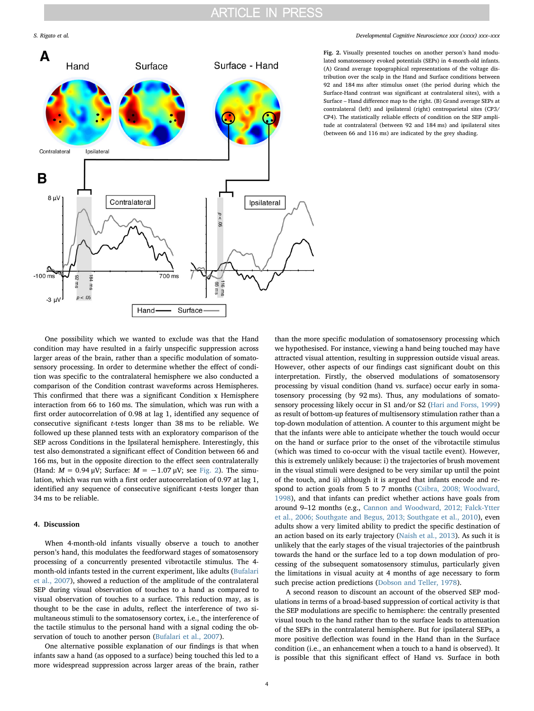<span id="page-3-0"></span>

### S. Rigato et al. *Developmental Cognitive Neuroscience xxx (xxxx) xxx–xxx*

Fig. 2. Visually presented touches on another person's hand modulated somatosensory evoked potentials (SEPs) in 4-month-old infants. (A) Grand average topographical representations of the voltage distribution over the scalp in the Hand and Surface conditions between 92 and 184 ms after stimulus onset (the period during which the Surface-Hand contrast was significant at contralateral sites), with a Surface – Hand difference map to the right. (B) Grand average SEPs at contralateral (left) and ipsilateral (right) centroparietal sites (CP3/ CP4). The statistically reliable effects of condition on the SEP amplitude at contralateral (between 92 and 184 ms) and ipsilateral sites (between 66 and 116 ms) are indicated by the grey shading.

One possibility which we wanted to exclude was that the Hand condition may have resulted in a fairly unspecific suppression across larger areas of the brain, rather than a specific modulation of somatosensory processing. In order to determine whether the effect of condition was specific to the contralateral hemisphere we also conducted a comparison of the Condition contrast waveforms across Hemispheres. This confirmed that there was a significant Condition x Hemisphere interaction from 66 to 160 ms. The simulation, which was run with a first order autocorrelation of 0.98 at lag 1, identified any sequence of consecutive significant t-tests longer than 38 ms to be reliable. We followed up these planned tests with an exploratory comparison of the SEP across Conditions in the Ipsilateral hemisphere. Interestingly, this test also demonstrated a significant effect of Condition between 66 and 166 ms, but in the opposite direction to the effect seen contralaterally (Hand:  $M = 0.94 \mu V$ ; Surface:  $M = -1.07 \mu V$ ; see [Fig. 2\)](#page-3-0). The simulation, which was run with a first order autocorrelation of 0.97 at lag 1, identified any sequence of consecutive significant t-tests longer than 34 ms to be reliable.

# 4. Discussion

When 4-month-old infants visually observe a touch to another person's hand, this modulates the feedforward stages of somatosensory processing of a concurrently presented vibrotactile stimulus. The 4 month-old infants tested in the current experiment, like adults ([Bufalari](#page-5-8) [et al., 2007](#page-5-8)), showed a reduction of the amplitude of the contralateral SEP during visual observation of touches to a hand as compared to visual observation of touches to a surface. This reduction may, as is thought to be the case in adults, reflect the interference of two simultaneous stimuli to the somatosensory cortex, i.e., the interference of the tactile stimulus to the personal hand with a signal coding the observation of touch to another person ([Bufalari et al., 2007\)](#page-5-8).

One alternative possible explanation of our findings is that when infants saw a hand (as opposed to a surface) being touched this led to a more widespread suppression across larger areas of the brain, rather

than the more specific modulation of somatosensory processing which we hypothesised. For instance, viewing a hand being touched may have attracted visual attention, resulting in suppression outside visual areas. However, other aspects of our findings cast significant doubt on this interpretation. Firstly, the observed modulations of somatosensory processing by visual condition (hand vs. surface) occur early in somatosensory processing (by 92 ms). Thus, any modulations of somatosensory processing likely occur in S1 and/or S2 [\(Hari and Forss, 1999\)](#page-5-24) as result of bottom-up features of multisensory stimulation rather than a top-down modulation of attention. A counter to this argument might be that the infants were able to anticipate whether the touch would occur on the hand or surface prior to the onset of the vibrotactile stimulus (which was timed to co-occur with the visual tactile event). However, this is extremely unlikely because: i) the trajectories of brush movement in the visual stimuli were designed to be very similar up until the point of the touch, and ii) although it is argued that infants encode and respond to action goals from 5 to 7 months ([Csibra, 2008; Woodward,](#page-5-25) [1998\)](#page-5-25), and that infants can predict whether actions have goals from around 9–12 months (e.g., [Cannon and Woodward, 2012; Falck-Ytter](#page-5-26) [et al., 2006; Southgate and Begus, 2013; Southgate et al., 2010](#page-5-26)), even adults show a very limited ability to predict the specific destination of an action based on its early trajectory [\(Naish et al., 2013\)](#page-5-27). As such it is unlikely that the early stages of the visual trajectories of the paintbrush towards the hand or the surface led to a top down modulation of processing of the subsequent somatosensory stimulus, particularly given the limitations in visual acuity at 4 months of age necessary to form such precise action predictions ([Dobson and Teller, 1978\)](#page-5-28).

A second reason to discount an account of the observed SEP modulations in terms of a broad-based suppression of cortical activity is that the SEP modulations are specific to hemisphere: the centrally presented visual touch to the hand rather than to the surface leads to attenuation of the SEPs in the contralateral hemisphere. But for ipsilateral SEPs, a more positive deflection was found in the Hand than in the Surface condition (i.e., an enhancement when a touch to a hand is observed). It is possible that this significant effect of Hand vs. Surface in both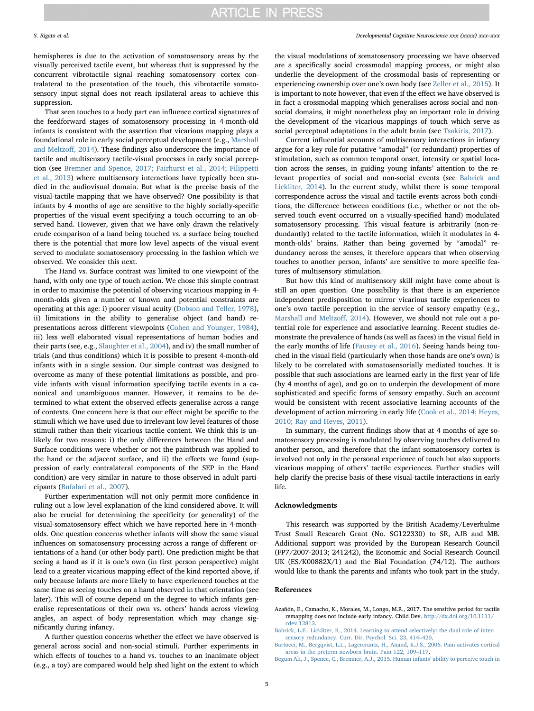hemispheres is due to the activation of somatosensory areas by the visually perceived tactile event, but whereas that is suppressed by the concurrent vibrotactile signal reaching somatosensory cortex contralateral to the presentation of the touch, this vibrotactile somatosensory input signal does not reach ipsilateral areas to achieve this suppression.

That seen touches to a body part can influence cortical signatures of the feedforward stages of somatosensory processing in 4-month-old infants is consistent with the assertion that vicarious mapping plays a foundational role in early social perceptual development (e.g., [Marshall](#page-5-29) [and Meltzo](#page-5-29)ff, 2014). These findings also underscore the importance of tactile and multisensory tactile-visual processes in early social perception (see [Bremner and Spence, 2017; Fairhurst et al., 2014; Filippetti](#page-5-1) [et al., 2013](#page-5-1)) where multisensory interactions have typically been studied in the audiovisual domain. But what is the precise basis of the visual-tactile mapping that we have observed? One possibility is that infants by 4 months of age are sensitive to the highly socially-specific properties of the visual event specifying a touch occurring to an observed hand. However, given that we have only drawn the relatively crude comparison of a hand being touched vs. a surface being touched there is the potential that more low level aspects of the visual event served to modulate somatosensory processing in the fashion which we observed. We consider this next.

The Hand vs. Surface contrast was limited to one viewpoint of the hand, with only one type of touch action. We chose this simple contrast in order to maximise the potential of observing vicarious mapping in 4 month-olds given a number of known and potential constraints are operating at this age: i) poorer visual acuity ([Dobson and Teller, 1978](#page-5-28)), ii) limitations in the ability to generalise object (and hand) representations across different viewpoints ([Cohen and Younger, 1984](#page-5-30)), iii) less well elaborated visual representations of human bodies and their parts (see, e.g., [Slaughter et al., 2004](#page-5-31)), and iv) the small number of trials (and thus conditions) which it is possible to present 4-month-old infants with in a single session. Our simple contrast was designed to overcome as many of these potential limitations as possible, and provide infants with visual information specifying tactile events in a canonical and unambiguous manner. However, it remains to be determined to what extent the observed effects generalise across a range of contexts. One concern here is that our effect might be specific to the stimuli which we have used due to irrelevant low level features of those stimuli rather than their vicarious tactile content. We think this is unlikely for two reasons: i) the only differences between the Hand and Surface conditions were whether or not the paintbrush was applied to the hand or the adjacent surface, and ii) the effects we found (suppression of early contralateral components of the SEP in the Hand condition) are very similar in nature to those observed in adult participants [\(Bufalari et al., 2007\)](#page-5-8).

Further experimentation will not only permit more confidence in ruling out a low level explanation of the kind considered above. It will also be crucial for determining the specificity (or generality) of the visual-somatosensory effect which we have reported here in 4-montholds. One question concerns whether infants will show the same visual influences on somatosensory processing across a range of different orientations of a hand (or other body part). One prediction might be that seeing a hand as if it is one's own (in first person perspective) might lead to a greater vicarious mapping effect of the kind reported above, if only because infants are more likely to have experienced touches at the same time as seeing touches on a hand observed in that orientation (see later). This will of course depend on the degree to which infants generalise representations of their own vs. others' hands across viewing angles, an aspect of body representation which may change significantly during infancy.

A further question concerns whether the effect we have observed is general across social and non-social stimuli. Further experiments in which effects of touches to a hand vs. touches to an inanimate object (e.g., a toy) are compared would help shed light on the extent to which

## S. Rigato et al. *Developmental Cognitive Neuroscience xxx (xxxx) xxx–xxx*

the visual modulations of somatosensory processing we have observed are a specifically social crossmodal mapping process, or might also underlie the development of the crossmodal basis of representing or experiencing ownership over one's own body (see [Zeller et al., 2015\)](#page-5-32). It is important to note however, that even if the effect we have observed is in fact a crossmodal mapping which generalises across social and nonsocial domains, it might nonetheless play an important role in driving the development of the vicarious mappings of touch which serve as social perceptual adaptations in the adult brain (see [Tsakiris, 2017](#page-5-33)).

Current influential accounts of multisensory interactions in infancy argue for a key role for putative "amodal" (or redundant) properties of stimulation, such as common temporal onset, intensity or spatial location across the senses, in guiding young infants' attention to the relevant properties of social and non-social events (see [Bahrick and](#page-4-0) [Lickliter, 2014](#page-4-0)). In the current study, whilst there is some temporal correspondence across the visual and tactile events across both conditions, the difference between conditions (i.e., whether or not the observed touch event occurred on a visually-specified hand) modulated somatosensory processing. This visual feature is arbitrarily (non-redundantly) related to the tactile information, which it modulates in 4 month-olds' brains. Rather than being governed by "amodal" redundancy across the senses, it therefore appears that when observing touches to another person, infants' are sensitive to more specific features of multisensory stimulation.

But how this kind of multisensory skill might have come about is still an open question. One possibility is that there is an experience independent predisposition to mirror vicarious tactile experiences to one's own tactile perception in the service of sensory empathy (e.g., [Marshall and Meltzo](#page-5-29)ff, 2014). However, we should not rule out a potential role for experience and associative learning. Recent studies demonstrate the prevalence of hands (as well as faces) in the visual field in the early months of life [\(Fausey et al., 2016](#page-5-20)). Seeing hands being touched in the visual field (particularly when those hands are one's own) is likely to be correlated with somatosensorially mediated touches. It is possible that such associations are learned early in the first year of life (by 4 months of age), and go on to underpin the development of more sophisticated and specific forms of sensory empathy. Such an account would be consistent with recent associative learning accounts of the development of action mirroring in early life ([Cook et al., 2014; Heyes,](#page-5-34) [2010; Ray and Heyes, 2011](#page-5-34)).

In summary, the current findings show that at 4 months of age somatosensory processing is modulated by observing touches delivered to another person, and therefore that the infant somatosensory cortex is involved not only in the personal experience of touch but also supports vicarious mapping of others' tactile experiences. Further studies will help clarify the precise basis of these visual-tactile interactions in early life.

#### Acknowledgments

This research was supported by the British Academy/Leverhulme Trust Small Research Grant (No. SG122330) to SR, AJB and MB. Additional support was provided by the European Research Council (FP7/2007-2013; 241242), the Economic and Social Research Council UK (ES/K00882X/1) and the Bial Foundation (74/12). The authors would like to thank the parents and infants who took part in the study.

### References

<span id="page-4-3"></span>Azañón, E., Camacho, K., Morales, M., Longo, M.R., 2017. The sensitive period for tactile remapping does not include early infancy. Child Dev. [http://dx.doi.org/10.1111/](http://dx.doi.org/10.1111/cdev.12813) [cdev.12813](http://dx.doi.org/10.1111/cdev.12813).

- <span id="page-4-0"></span>[Bahrick, L.E., Lickliter, R., 2014. Learning to attend selectively: the dual role of inter](http://refhub.elsevier.com/S1878-9293(17)30080-4/sbref0010)[sensory redundancy. Curr. Dir. Psychol. Sci. 23, 414](http://refhub.elsevier.com/S1878-9293(17)30080-4/sbref0010)–420.
- <span id="page-4-1"></span>[Bartocci, M., Bergqvist, L.L., Lagercrantz, H., Anand, K.J.S., 2006. Pain activates cortical](http://refhub.elsevier.com/S1878-9293(17)30080-4/sbref0015) [areas in the preterm newborn brain. Pain 122, 109](http://refhub.elsevier.com/S1878-9293(17)30080-4/sbref0015)–117.
- <span id="page-4-2"></span>[Begum Ali, J., Spence, C., Bremner, A.J., 2015. Human infants](http://refhub.elsevier.com/S1878-9293(17)30080-4/sbref0020)' ability to perceive touch in